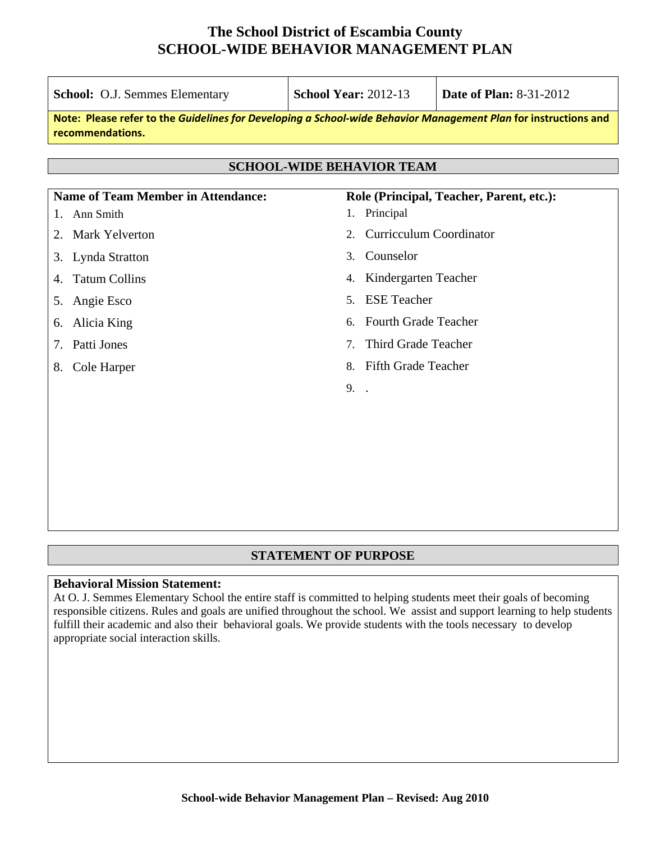| <b>School: O.J. Semmes Elementary</b>     | <b>School Year: 2012-13</b>                                                                                     | <b>Date of Plan: 8-31-2012</b>           |  |
|-------------------------------------------|-----------------------------------------------------------------------------------------------------------------|------------------------------------------|--|
| recommendations.                          | Note: Please refer to the Guidelines for Developing a School-wide Behavior Management Plan for instructions and |                                          |  |
|                                           | <b>SCHOOL-WIDE BEHAVIOR TEAM</b>                                                                                |                                          |  |
|                                           |                                                                                                                 |                                          |  |
| <b>Name of Team Member in Attendance:</b> |                                                                                                                 | Role (Principal, Teacher, Parent, etc.): |  |
| Ann Smith<br>1.                           | 1. Principal                                                                                                    |                                          |  |
| 2. Mark Yelverton                         | <b>Curricculum Coordinator</b><br>$\mathfrak{2}$ .                                                              |                                          |  |
| 3. Lynda Stratton                         | Counselor<br>3.                                                                                                 |                                          |  |
| <b>Tatum Collins</b><br>4.                | Kindergarten Teacher<br>4.                                                                                      |                                          |  |
| Angie Esco<br>5.                          | <b>ESE</b> Teacher<br>5 <sub>1</sub>                                                                            |                                          |  |
| Alicia King<br>6.                         | <b>Fourth Grade Teacher</b><br>б.                                                                               |                                          |  |
| Patti Jones<br>7.                         | Third Grade Teacher<br>$7_{\scriptscriptstyle{\ddot{\text{c}}}}$                                                |                                          |  |
| Cole Harper<br>8.                         | <b>Fifth Grade Teacher</b><br>8.                                                                                |                                          |  |
|                                           | 9. .                                                                                                            |                                          |  |
|                                           |                                                                                                                 |                                          |  |
|                                           |                                                                                                                 |                                          |  |
|                                           |                                                                                                                 |                                          |  |
|                                           |                                                                                                                 |                                          |  |
|                                           |                                                                                                                 |                                          |  |

#### **STATEMENT OF PURPOSE**

#### **Behavioral Mission Statement:**

At O. J. Semmes Elementary School the entire staff is committed to helping students meet their goals of becoming responsible citizens. Rules and goals are unified throughout the school. We assist and support learning to help students fulfill their academic and also their behavioral goals. We provide students with the tools necessary to develop appropriate social interaction skills.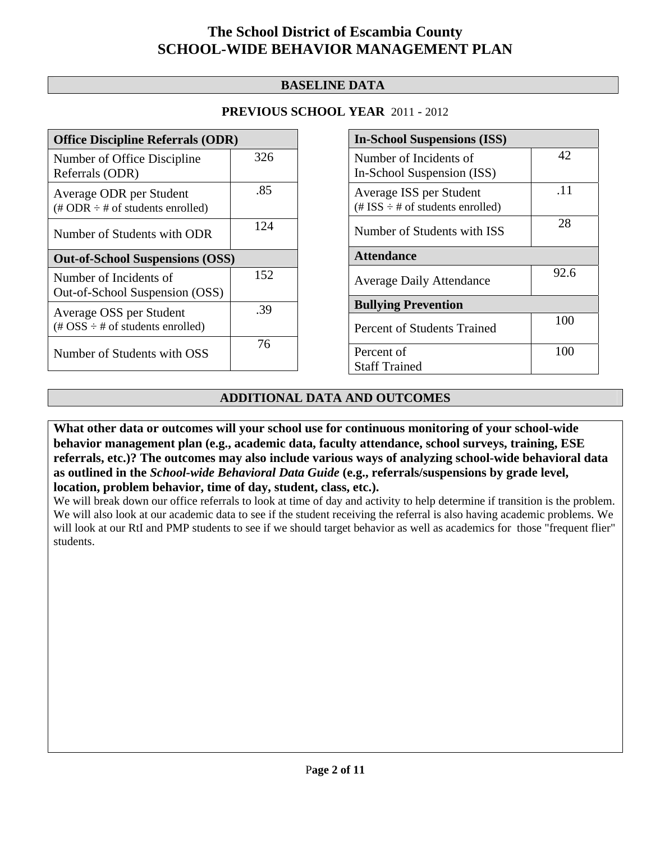#### **BASELINE DATA**

#### **PREVIOUS SCHOOL YEAR** 2011 - 2012

| <b>Office Discipline Referrals (ODR)</b>                                                        |     |  |
|-------------------------------------------------------------------------------------------------|-----|--|
| Number of Office Discipline<br>Referrals (ODR)                                                  | 326 |  |
| Average ODR per Student<br>(# ODR $\div$ # of students enrolled)                                | .85 |  |
| Number of Students with ODR                                                                     | 124 |  |
| <b>Out-of-School Suspensions (OSS)</b>                                                          |     |  |
|                                                                                                 |     |  |
| Number of Incidents of<br>Out-of-School Suspension (OSS)                                        | 152 |  |
| Average OSS per Student<br>$(\text{\#} \text{OSS} \div \text{\#} \text{ of students enrolled})$ | .39 |  |

| <b>In-School Suspensions (ISS)</b>                                 |      |  |
|--------------------------------------------------------------------|------|--|
| Number of Incidents of<br>In-School Suspension (ISS)               | 42   |  |
|                                                                    |      |  |
| Average ISS per Student<br>$(\# ISS \div \# of students enrolled)$ | .11  |  |
| Number of Students with ISS                                        | 28   |  |
| <b>Attendance</b>                                                  |      |  |
| <b>Average Daily Attendance</b>                                    | 92.6 |  |
| <b>Bullying Prevention</b>                                         |      |  |
| Percent of Students Trained                                        | 100  |  |
| Percent of                                                         | 100  |  |
| <b>Staff Trained</b>                                               |      |  |

#### **ADDITIONAL DATA AND OUTCOMES**

**What other data or outcomes will your school use for continuous monitoring of your school-wide behavior management plan (e.g., academic data, faculty attendance, school surveys, training, ESE referrals, etc.)? The outcomes may also include various ways of analyzing school-wide behavioral data as outlined in the** *School-wide Behavioral Data Guide* **(e.g., referrals/suspensions by grade level, location, problem behavior, time of day, student, class, etc.).**

We will break down our office referrals to look at time of day and activity to help determine if transition is the problem. We will also look at our academic data to see if the student receiving the referral is also having academic problems. We will look at our RtI and PMP students to see if we should target behavior as well as academics for those "frequent flier" students.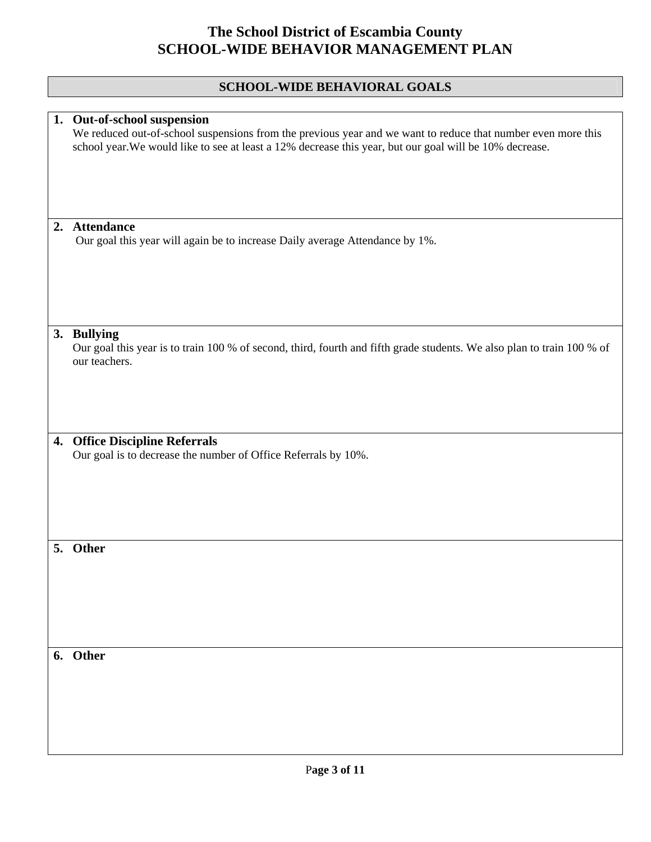### **SCHOOL-WIDE BEHAVIORAL GOALS**

|    | 1. Out-of-school suspension<br>We reduced out-of-school suspensions from the previous year and we want to reduce that number even more this            |
|----|--------------------------------------------------------------------------------------------------------------------------------------------------------|
|    | school year. We would like to see at least a 12% decrease this year, but our goal will be 10% decrease.                                                |
|    |                                                                                                                                                        |
| 2. | <b>Attendance</b>                                                                                                                                      |
|    | Our goal this year will again be to increase Daily average Attendance by 1%.                                                                           |
|    |                                                                                                                                                        |
|    |                                                                                                                                                        |
|    | 3. Bullying<br>Our goal this year is to train 100 % of second, third, fourth and fifth grade students. We also plan to train 100 % of<br>our teachers. |
|    |                                                                                                                                                        |
|    |                                                                                                                                                        |
|    | 4. Office Discipline Referrals<br>Our goal is to decrease the number of Office Referrals by 10%.                                                       |
|    |                                                                                                                                                        |
|    |                                                                                                                                                        |
|    |                                                                                                                                                        |
|    | 5. Other                                                                                                                                               |
|    |                                                                                                                                                        |
|    |                                                                                                                                                        |
|    | 6. Other                                                                                                                                               |
|    |                                                                                                                                                        |
|    |                                                                                                                                                        |
|    |                                                                                                                                                        |
|    |                                                                                                                                                        |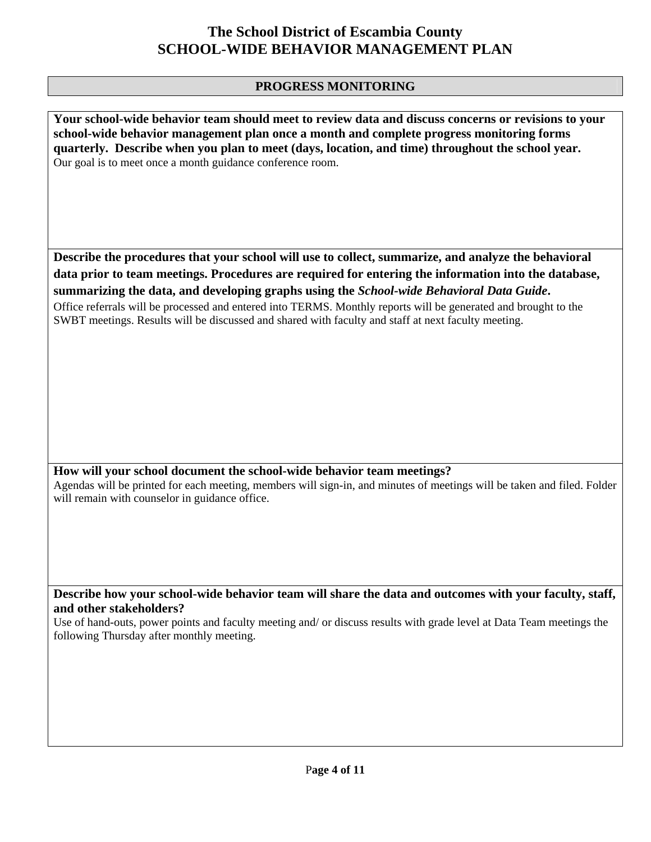#### **PROGRESS MONITORING**

**Your school-wide behavior team should meet to review data and discuss concerns or revisions to your school-wide behavior management plan once a month and complete progress monitoring forms quarterly. Describe when you plan to meet (days, location, and time) throughout the school year.**  Our goal is to meet once a month guidance conference room.

**Describe the procedures that your school will use to collect, summarize, and analyze the behavioral data prior to team meetings. Procedures are required for entering the information into the database, summarizing the data, and developing graphs using the** *School-wide Behavioral Data Guide***.** 

Office referrals will be processed and entered into TERMS. Monthly reports will be generated and brought to the SWBT meetings. Results will be discussed and shared with faculty and staff at next faculty meeting.

#### **How will your school document the school-wide behavior team meetings?**

Agendas will be printed for each meeting, members will sign-in, and minutes of meetings will be taken and filed. Folder will remain with counselor in guidance office.

**Describe how your school-wide behavior team will share the data and outcomes with your faculty, staff, and other stakeholders?** 

Use of hand-outs, power points and faculty meeting and/ or discuss results with grade level at Data Team meetings the following Thursday after monthly meeting.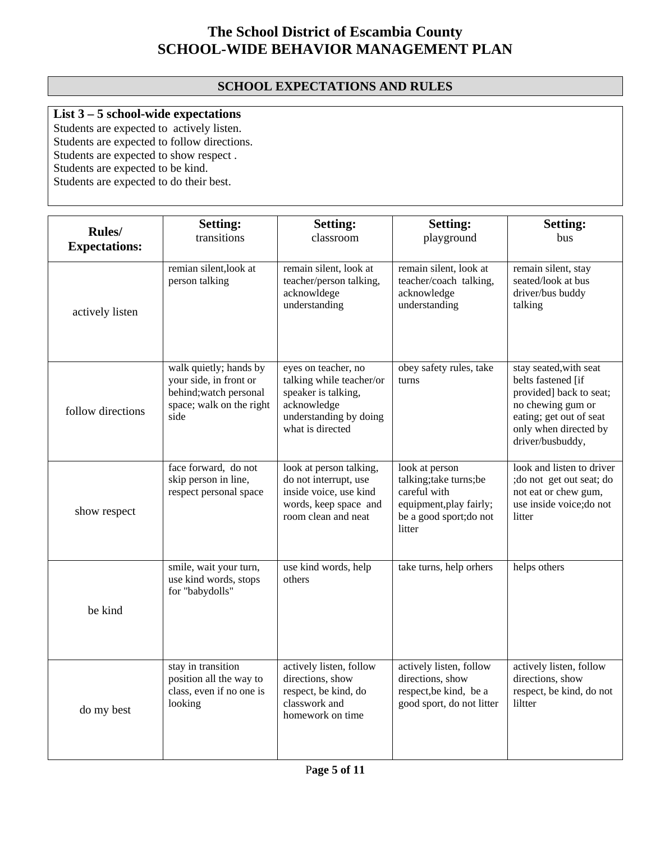#### **SCHOOL EXPECTATIONS AND RULES**

### **List 3 – 5 school-wide expectations**

Students are expected to actively listen. Students are expected to follow directions. Students are expected to show respect. Students are expected to be kind. Students are expected to do their best.

| <b>Rules</b> /<br><b>Expectations:</b> | <b>Setting:</b><br>transitions                                                                                 | <b>Setting:</b><br>classroom                                                                                                        | <b>Setting:</b><br>playground                                                                                          | <b>Setting:</b><br>bus                                                                                                                                               |
|----------------------------------------|----------------------------------------------------------------------------------------------------------------|-------------------------------------------------------------------------------------------------------------------------------------|------------------------------------------------------------------------------------------------------------------------|----------------------------------------------------------------------------------------------------------------------------------------------------------------------|
| actively listen                        | remian silent, look at<br>person talking                                                                       | remain silent, look at<br>teacher/person talking,<br>acknowldege<br>understanding                                                   | remain silent, look at<br>teacher/coach talking,<br>acknowledge<br>understanding                                       | remain silent, stay<br>seated/look at bus<br>driver/bus buddy<br>talking                                                                                             |
| follow directions                      | walk quietly; hands by<br>your side, in front or<br>behind; watch personal<br>space; walk on the right<br>side | eyes on teacher, no<br>talking while teacher/or<br>speaker is talking,<br>acknowledge<br>understanding by doing<br>what is directed | obey safety rules, take<br>turns                                                                                       | stay seated, with seat<br>belts fastened [if<br>provided] back to seat;<br>no chewing gum or<br>eating; get out of seat<br>only when directed by<br>driver/busbuddy, |
| show respect                           | face forward, do not<br>skip person in line,<br>respect personal space                                         | look at person talking,<br>do not interrupt, use<br>inside voice, use kind<br>words, keep space and<br>room clean and neat          | look at person<br>talking;take turns;be<br>careful with<br>equipment, play fairly;<br>be a good sport;do not<br>litter | look and listen to driver<br>; do not get out seat; do<br>not eat or chew gum,<br>use inside voice; do not<br>litter                                                 |
| be kind                                | smile, wait your turn,<br>use kind words, stops<br>for "babydolls"                                             | use kind words, help<br>others                                                                                                      | take turns, help orhers                                                                                                | helps others                                                                                                                                                         |
| do my best                             | stay in transition<br>position all the way to<br>class, even if no one is<br>looking                           | actively listen, follow<br>directions, show<br>respect, be kind, do<br>classwork and<br>homework on time                            | actively listen, follow<br>directions, show<br>respect, be kind, be a<br>good sport, do not litter                     | actively listen, follow<br>directions, show<br>respect, be kind, do not<br>liltter                                                                                   |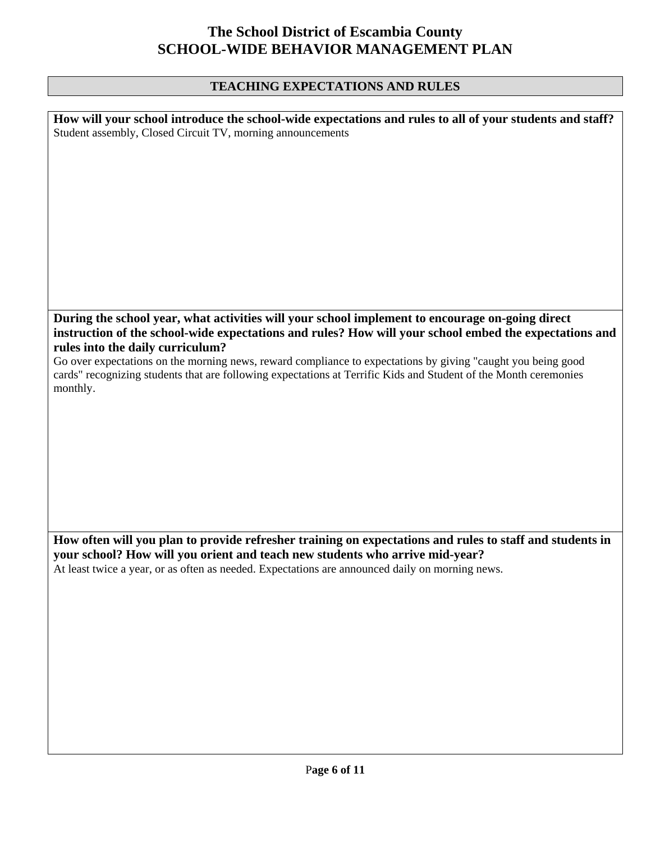### **TEACHING EXPECTATIONS AND RULES**

| How will your school introduce the school-wide expectations and rules to all of your students and staff?<br>Student assembly, Closed Circuit TV, morning announcements                                                                        |
|-----------------------------------------------------------------------------------------------------------------------------------------------------------------------------------------------------------------------------------------------|
|                                                                                                                                                                                                                                               |
|                                                                                                                                                                                                                                               |
|                                                                                                                                                                                                                                               |
|                                                                                                                                                                                                                                               |
|                                                                                                                                                                                                                                               |
|                                                                                                                                                                                                                                               |
|                                                                                                                                                                                                                                               |
| During the school year, what activities will your school implement to encourage on-going direct<br>instruction of the school-wide expectations and rules? How will your school embed the expectations and<br>rules into the daily curriculum? |
| Go over expectations on the morning news, reward compliance to expectations by giving "caught you being good<br>cards" recognizing students that are following expectations at Terrific Kids and Student of the Month ceremonies<br>monthly.  |
|                                                                                                                                                                                                                                               |
|                                                                                                                                                                                                                                               |
|                                                                                                                                                                                                                                               |
|                                                                                                                                                                                                                                               |
|                                                                                                                                                                                                                                               |
| How often will you plan to provide refresher training on expectations and rules to staff and students in                                                                                                                                      |
| your school? How will you orient and teach new students who arrive mid-year?<br>At least twice a year, or as often as needed. Expectations are announced daily on morning news.                                                               |
|                                                                                                                                                                                                                                               |
|                                                                                                                                                                                                                                               |
|                                                                                                                                                                                                                                               |
|                                                                                                                                                                                                                                               |
|                                                                                                                                                                                                                                               |
|                                                                                                                                                                                                                                               |
|                                                                                                                                                                                                                                               |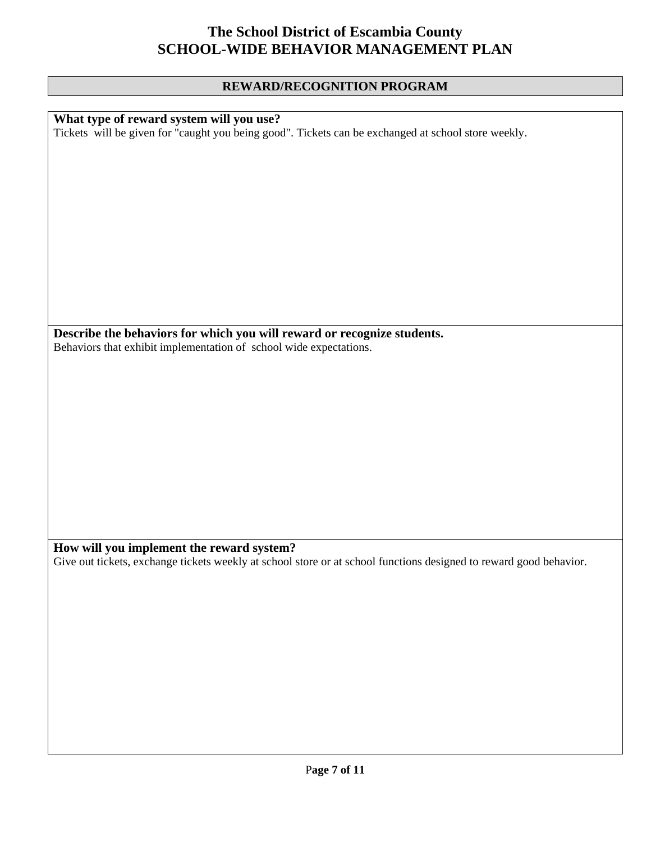### **REWARD/RECOGNITION PROGRAM**

| What type of reward system will you use?                                                                           |
|--------------------------------------------------------------------------------------------------------------------|
| Tickets will be given for "caught you being good". Tickets can be exchanged at school store weekly.                |
|                                                                                                                    |
|                                                                                                                    |
|                                                                                                                    |
|                                                                                                                    |
|                                                                                                                    |
|                                                                                                                    |
|                                                                                                                    |
|                                                                                                                    |
|                                                                                                                    |
|                                                                                                                    |
|                                                                                                                    |
|                                                                                                                    |
|                                                                                                                    |
|                                                                                                                    |
| Describe the behaviors for which you will reward or recognize students.                                            |
| Behaviors that exhibit implementation of school wide expectations.                                                 |
|                                                                                                                    |
|                                                                                                                    |
|                                                                                                                    |
|                                                                                                                    |
|                                                                                                                    |
|                                                                                                                    |
|                                                                                                                    |
|                                                                                                                    |
|                                                                                                                    |
|                                                                                                                    |
|                                                                                                                    |
|                                                                                                                    |
|                                                                                                                    |
|                                                                                                                    |
|                                                                                                                    |
| How will you implement the reward system?                                                                          |
| Give out tickets, exchange tickets weekly at school store or at school functions designed to reward good behavior. |
|                                                                                                                    |
|                                                                                                                    |
|                                                                                                                    |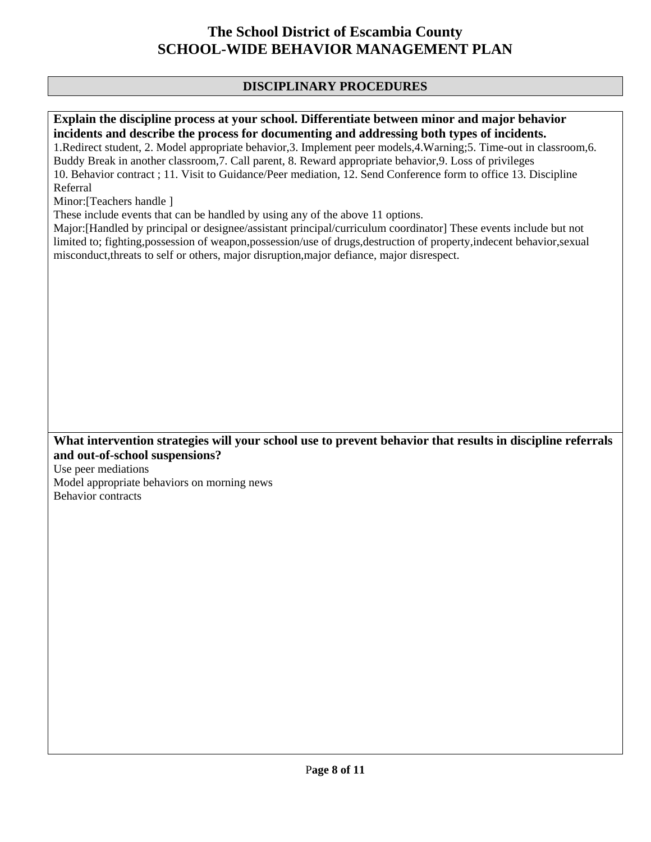#### **DISCIPLINARY PROCEDURES**

#### **Explain the discipline process at your school. Differentiate between minor and major behavior incidents and describe the process for documenting and addressing both types of incidents.**

1.Redirect student, 2. Model appropriate behavior,3. Implement peer models,4.Warning;5. Time-out in classroom,6. Buddy Break in another classroom,7. Call parent, 8. Reward appropriate behavior,9. Loss of privileges 10. Behavior contract ; 11. Visit to Guidance/Peer mediation, 12. Send Conference form to office 13. Discipline Referral

Minor:[Teachers handle ]

These include events that can be handled by using any of the above 11 options.

Major:[Handled by principal or designee/assistant principal/curriculum coordinator] These events include but not limited to; fighting,possession of weapon,possession/use of drugs,destruction of property,indecent behavior,sexual misconduct,threats to self or others, major disruption,major defiance, major disrespect.

#### **What intervention strategies will your school use to prevent behavior that results in discipline referrals and out-of-school suspensions?**

Use peer mediations Model appropriate behaviors on morning news Behavior contracts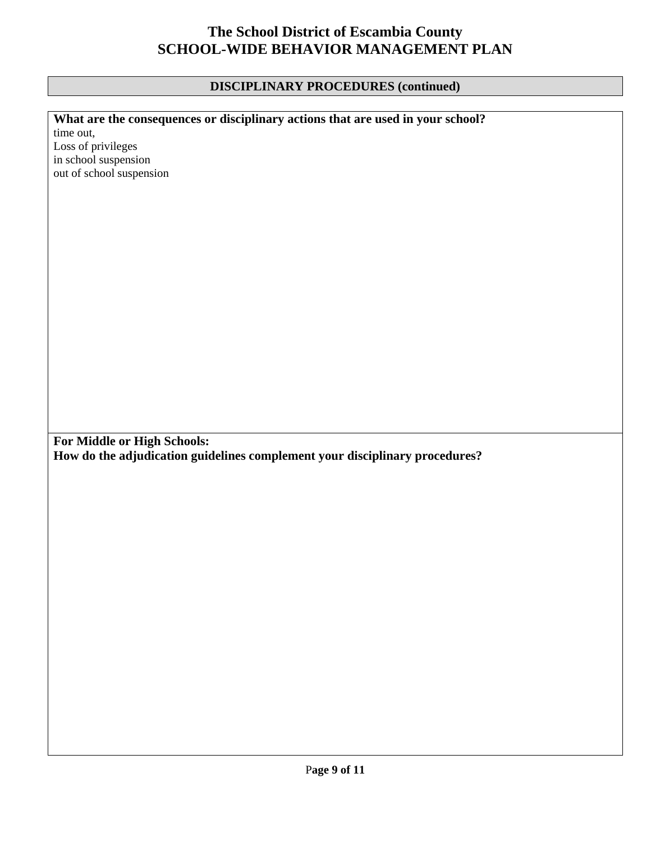#### **DISCIPLINARY PROCEDURES (continued)**

time out, Loss of privileges in school suspension out of school suspension

**What are the consequences or disciplinary actions that are used in your school?** 

**For Middle or High Schools: How do the adjudication guidelines complement your disciplinary procedures?**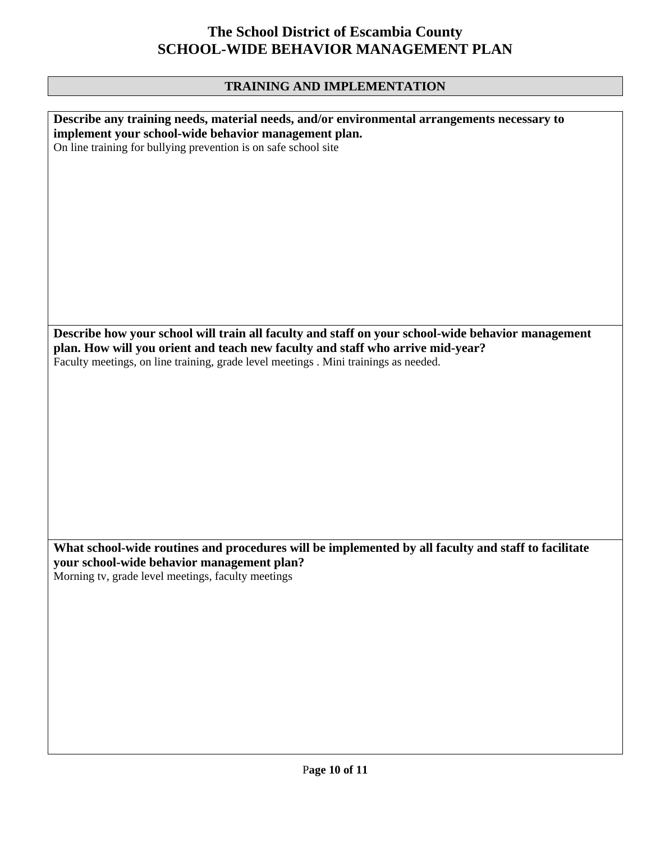### **TRAINING AND IMPLEMENTATION**

| Describe any training needs, material needs, and/or environmental arrangements necessary to         |
|-----------------------------------------------------------------------------------------------------|
|                                                                                                     |
| implement your school-wide behavior management plan.                                                |
| On line training for bullying prevention is on safe school site                                     |
|                                                                                                     |
|                                                                                                     |
|                                                                                                     |
|                                                                                                     |
|                                                                                                     |
|                                                                                                     |
|                                                                                                     |
|                                                                                                     |
|                                                                                                     |
|                                                                                                     |
|                                                                                                     |
|                                                                                                     |
|                                                                                                     |
|                                                                                                     |
|                                                                                                     |
|                                                                                                     |
|                                                                                                     |
|                                                                                                     |
|                                                                                                     |
|                                                                                                     |
| Describe how your school will train all faculty and staff on your school-wide behavior management   |
|                                                                                                     |
| plan. How will you orient and teach new faculty and staff who arrive mid-year?                      |
| Faculty meetings, on line training, grade level meetings . Mini trainings as needed.                |
|                                                                                                     |
|                                                                                                     |
|                                                                                                     |
|                                                                                                     |
|                                                                                                     |
|                                                                                                     |
|                                                                                                     |
|                                                                                                     |
|                                                                                                     |
|                                                                                                     |
|                                                                                                     |
|                                                                                                     |
|                                                                                                     |
|                                                                                                     |
|                                                                                                     |
|                                                                                                     |
|                                                                                                     |
|                                                                                                     |
|                                                                                                     |
|                                                                                                     |
| What school-wide routines and procedures will be implemented by all faculty and staff to facilitate |
|                                                                                                     |
| your school-wide behavior management plan?                                                          |
| Morning tv, grade level meetings, faculty meetings                                                  |
|                                                                                                     |
|                                                                                                     |
|                                                                                                     |
|                                                                                                     |
|                                                                                                     |
|                                                                                                     |
|                                                                                                     |
|                                                                                                     |
|                                                                                                     |
|                                                                                                     |
|                                                                                                     |
|                                                                                                     |
|                                                                                                     |
|                                                                                                     |
|                                                                                                     |
|                                                                                                     |